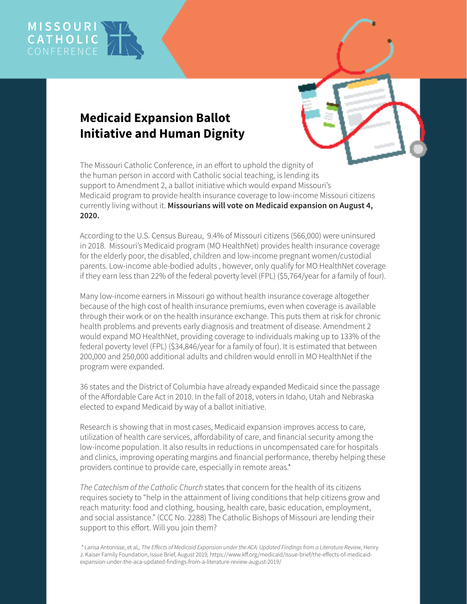

## **Medicaid Expansion Ballot Initiative and Human Dignity**

The Missouri Catholic Conference, in an effort to uphold the dignity of the human person in accord with Catholic social teaching, is lending its support to Amendment 2, a ballot initiative which would expand Missouri's Medicaid program to provide health insurance coverage to low-income Missouri citizens currently living without it. **Missourians will vote on Medicaid expansion on August 4, 2020.**

According to the U.S. Census Bureau, 9.4% of Missouri citizens (566,000) were uninsured in 2018. Missouri's Medicaid program (MO HealthNet) provides health insurance coverage for the elderly poor, the disabled, children and low-income pregnant women/custodial parents. Low-income able-bodied adults , however, only qualify for MO HealthNet coverage if they earn less than 22% of the federal poverty level (FPL) (\$5,764/year for a family of four).

Many low-income earners in Missouri go without health insurance coverage altogether because of the high cost of health insurance premiums, even when coverage is available through their work or on the health insurance exchange. This puts them at risk for chronic health problems and prevents early diagnosis and treatment of disease. Amendment 2 would expand MO HealthNet, providing coverage to individuals making up to 133% of the federal poverty level (FPL) (\$34,846/year for a family of four). It is estimated that between 200,000 and 250,000 additional adults and children would enroll in MO HealthNet if the program were expanded.

36 states and the District of Columbia have already expanded Medicaid since the passage of the Affordable Care Act in 2010. In the fall of 2018, voters in Idaho, Utah and Nebraska elected to expand Medicaid by way of a ballot initiative.

Research is showing that in most cases, Medicaid expansion improves access to care, utilization of health care services, affordability of care, and financial security among the low-income population. It also results in reductions in uncompensated care for hospitals and clinics, improving operating margins and financial performance, thereby helping these providers continue to provide care, especially in remote areas.\*

*The Catechism of the Catholic Church* states that concern for the health of its citizens requires society to "help in the attainment of living conditions that help citizens grow and reach maturity: food and clothing, housing, health care, basic education, employment, and social assistance." (CCC No. 2288) The Catholic Bishops of Missouri are lending their support to this effort. Will you join them?

 *\** Larisa Antonisse, et al.*, The Effects of Medicaid Expansion under the ACA: Updated Findings from a Literature Review,* Henry J. Kaiser Family Foundation, Issue Brief, August 2019*,* https://www.kff.org/medicaid/issue-brief/the-effects-of-medicaidexpansion-under-the-aca-updated-findings-from-a-literature-review-august-2019/